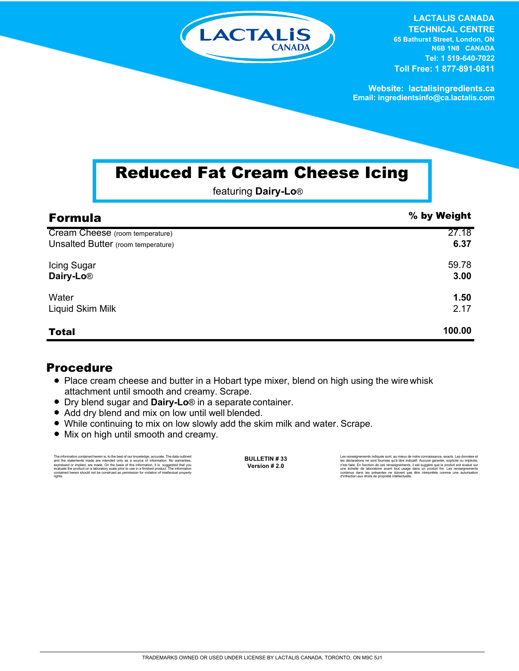

**LACTALIS CANADA TECHNICAL CENTRE 65 Bathurst Street, London, ON N6B 1N8 CANADA**

**Tel: 1 519-640-7022 Toll Free: 1 877-891-0811**

**Website: lactalisingredients.ca Email: ingredientsinfo@ca.lactalis.com**

## Reduced Fat Cream Cheese Icing

featuring **Dairy-Lo**®

| <b>Formula</b>                     | % by Weight |
|------------------------------------|-------------|
| Cream Cheese (room temperature)    | 27.18       |
| Unsalted Butter (room temperature) | 6.37        |
| Icing Sugar                        | 59.78       |
| Dairy-Lo <sup>®</sup>              | 3.00        |
| Water                              | 1.50        |
| Liquid Skim Milk                   | 2.17        |
| <b>Total</b>                       | 100.00      |

## Procedure

- Place cream cheese and butter in a Hobart type mixer, blend on high using the wire whisk attachment until smooth and creamy. Scrape.
- Dry blend sugar and **Dairy-Lo**<sup>®</sup> in a separate container.
- Add dry blend and mix on low until well blended.
- While continuing to mix on low slowly add the skim milk and water. Scrape.
- Mix on high until smooth and creamy.

The information contained herein is, to the best of our knowledge, accurate. The data cutlined and the statements made are intended only as a source of information. No warranties, expressed or implied, are made. On the bas

**BULLETIN # 33 Version # 2.0**

Les rensejonements indiqués sont, au mieux de notre connaissance, exacts. Les données et<br>les déclarations ne sont fournies qu'à titre indicatif. Aucune garantie, explicite ou implicite,<br>riest faite. En fonction de ces rens